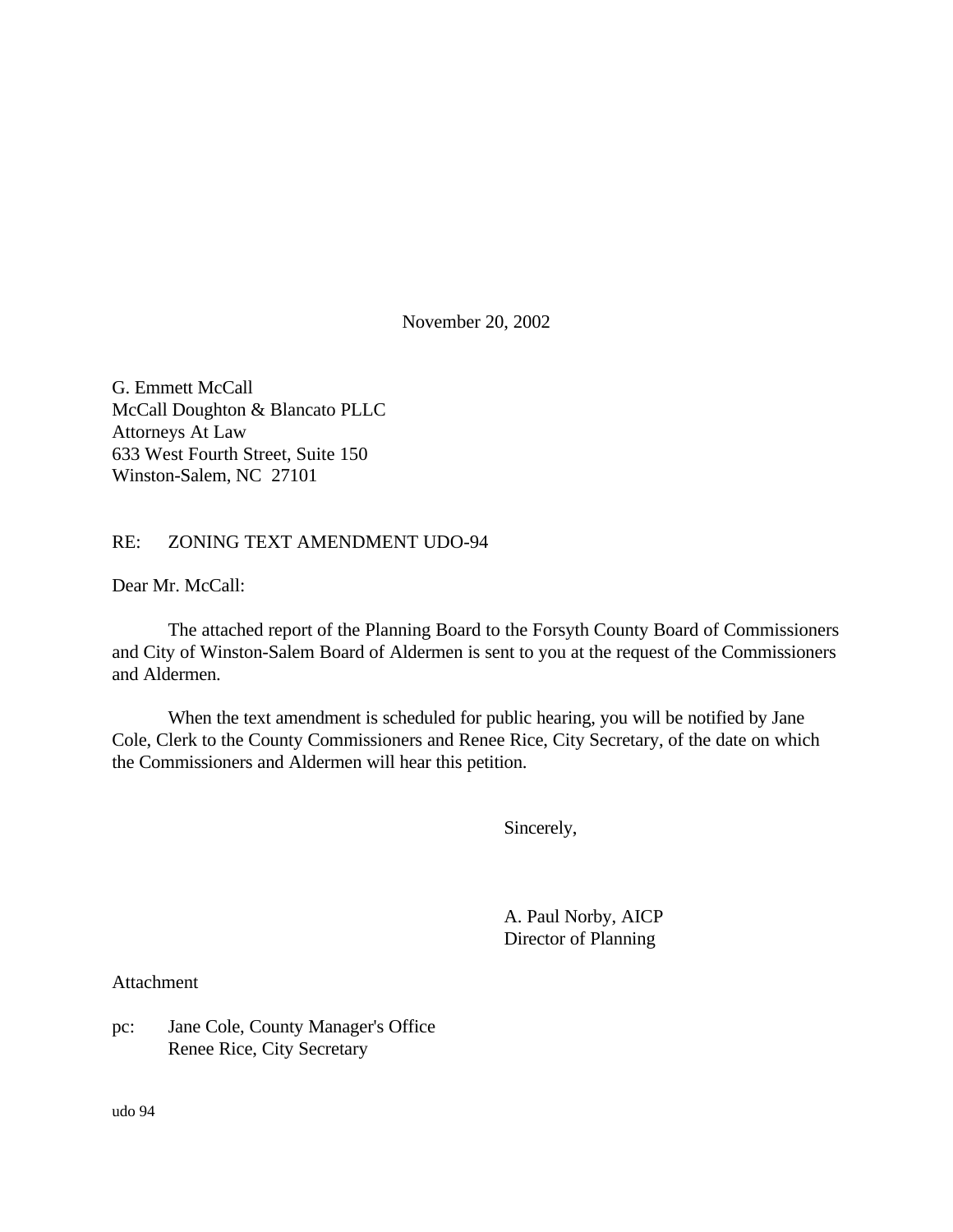November 20, 2002

G. Emmett McCall McCall Doughton & Blancato PLLC Attorneys At Law 633 West Fourth Street, Suite 150 Winston-Salem, NC 27101

#### RE: ZONING TEXT AMENDMENT UDO-94

Dear Mr. McCall:

The attached report of the Planning Board to the Forsyth County Board of Commissioners and City of Winston-Salem Board of Aldermen is sent to you at the request of the Commissioners and Aldermen.

When the text amendment is scheduled for public hearing, you will be notified by Jane Cole, Clerk to the County Commissioners and Renee Rice, City Secretary, of the date on which the Commissioners and Aldermen will hear this petition.

Sincerely,

A. Paul Norby, AICP Director of Planning

Attachment

pc: Jane Cole, County Manager's Office Renee Rice, City Secretary

udo 94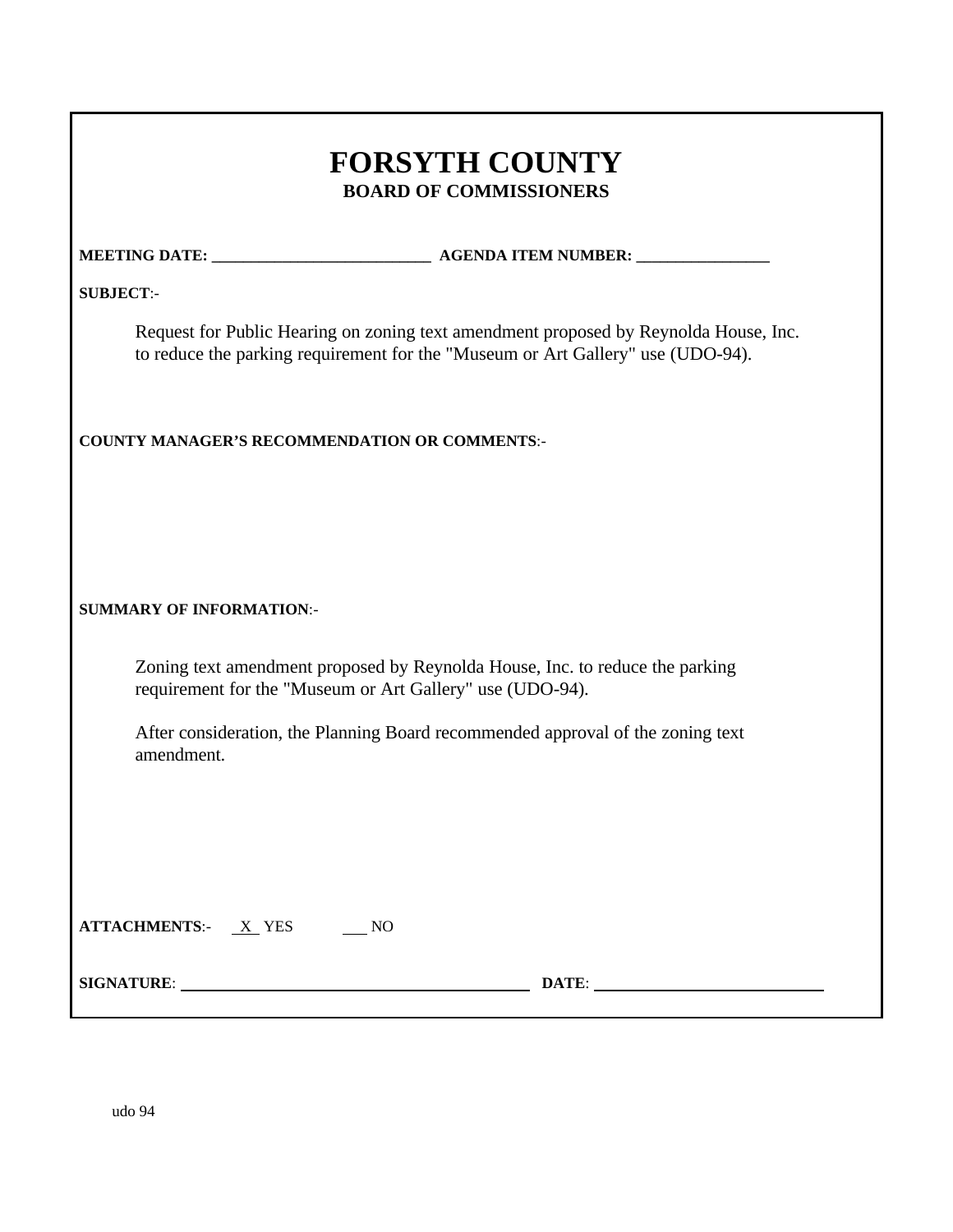| <b>FORSYTH COUNTY</b>         |
|-------------------------------|
| <b>BOARD OF COMMISSIONERS</b> |

**MEETING DATE: \_\_\_\_\_\_\_\_\_\_\_\_\_\_\_\_\_\_\_\_\_\_\_\_\_\_\_\_ AGENDA ITEM NUMBER: \_\_\_\_\_\_\_\_\_\_\_\_\_\_\_\_\_**

**SUBJECT**:-

Request for Public Hearing on zoning text amendment proposed by Reynolda House, Inc. to reduce the parking requirement for the "Museum or Art Gallery" use (UDO-94).

**COUNTY MANAGER'S RECOMMENDATION OR COMMENTS**:-

#### **SUMMARY OF INFORMATION**:-

Zoning text amendment proposed by Reynolda House, Inc. to reduce the parking requirement for the "Museum or Art Gallery" use (UDO-94).

After consideration, the Planning Board recommended approval of the zoning text amendment.

| <b>ATTACHMENTS:-</b> | YES. |  |
|----------------------|------|--|
|----------------------|------|--|

**SIGNATURE: DATE: DATE: DATE: DATE: DATE: DATE: DATE: DATE: DATE: DATE: DATE: DATE: DATE: DATE: DATE: DATE: DATE: DESIGNATURE: DESIGNATURE: DESIGNATURE: DESIGNATURE: DESIGNATURE:**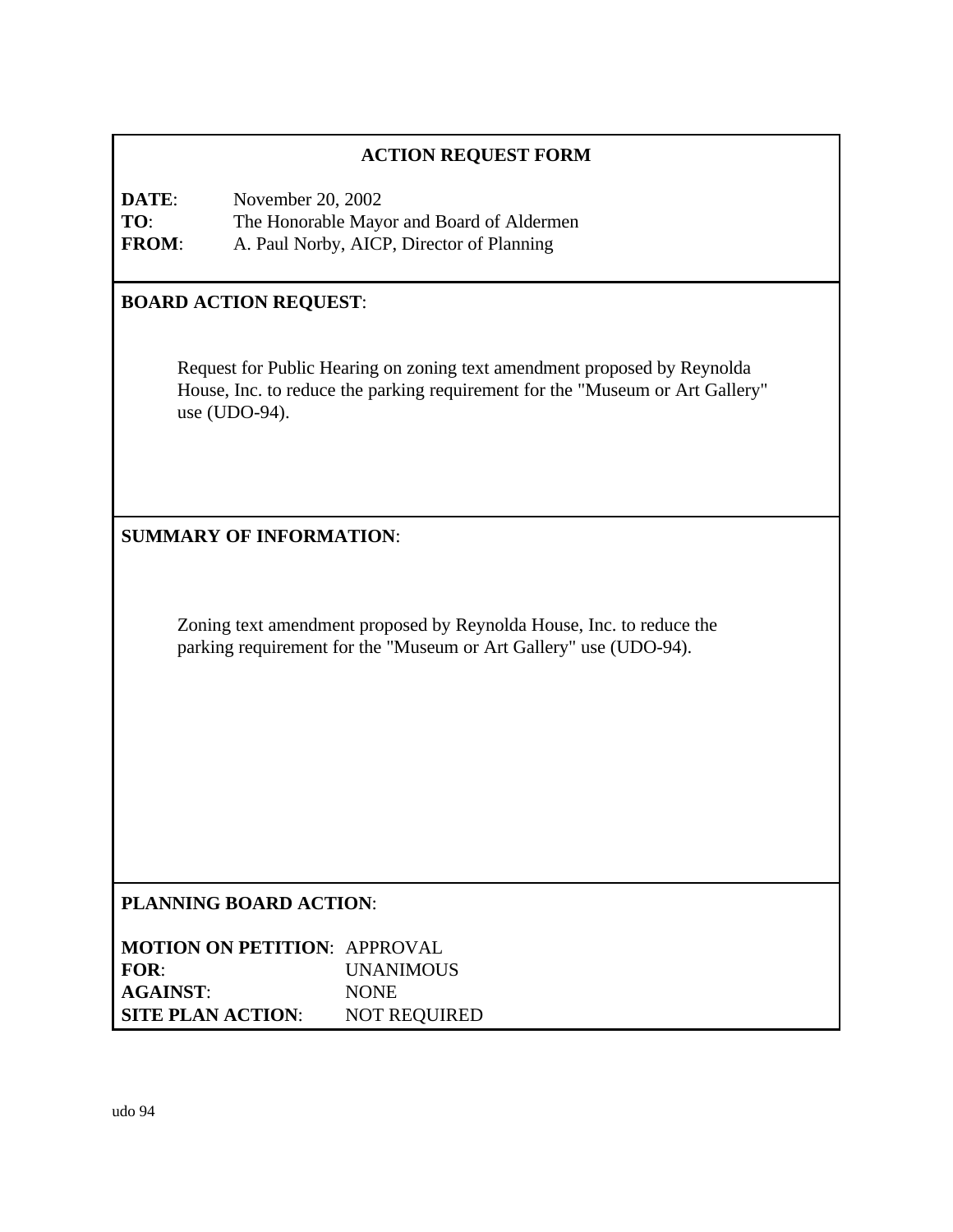## **ACTION REQUEST FORM**

**DATE**: November 20, 2002 **TO**: The Honorable Mayor and Board of Aldermen **FROM**: A. Paul Norby, AICP, Director of Planning

#### **BOARD ACTION REQUEST**:

Request for Public Hearing on zoning text amendment proposed by Reynolda House, Inc. to reduce the parking requirement for the "Museum or Art Gallery" use (UDO-94).

## **SUMMARY OF INFORMATION**:

Zoning text amendment proposed by Reynolda House, Inc. to reduce the parking requirement for the "Museum or Art Gallery" use (UDO-94).

#### **PLANNING BOARD ACTION**:

**MOTION ON PETITION**: APPROVAL **FOR**: UNANIMOUS **AGAINST**: NONE **SITE PLAN ACTION**: NOT REQUIRED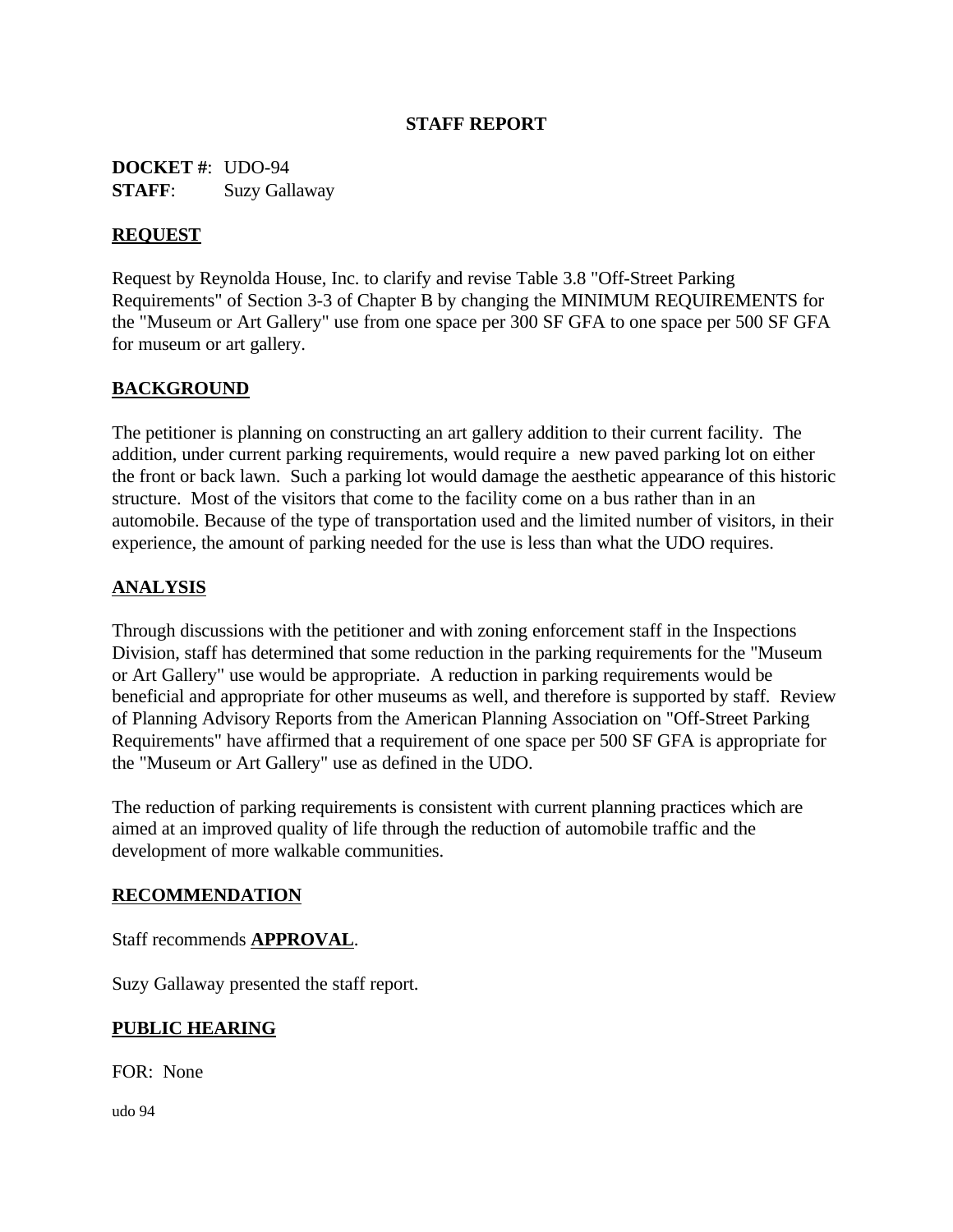## **STAFF REPORT**

**DOCKET #**: UDO-94 **STAFF**: Suzy Gallaway

### **REQUEST**

Request by Reynolda House, Inc. to clarify and revise Table 3.8 "Off-Street Parking Requirements" of Section 3-3 of Chapter B by changing the MINIMUM REQUIREMENTS for the "Museum or Art Gallery" use from one space per 300 SF GFA to one space per 500 SF GFA for museum or art gallery.

## **BACKGROUND**

The petitioner is planning on constructing an art gallery addition to their current facility. The addition, under current parking requirements, would require a new paved parking lot on either the front or back lawn. Such a parking lot would damage the aesthetic appearance of this historic structure. Most of the visitors that come to the facility come on a bus rather than in an automobile. Because of the type of transportation used and the limited number of visitors, in their experience, the amount of parking needed for the use is less than what the UDO requires.

## **ANALYSIS**

Through discussions with the petitioner and with zoning enforcement staff in the Inspections Division, staff has determined that some reduction in the parking requirements for the "Museum or Art Gallery" use would be appropriate. A reduction in parking requirements would be beneficial and appropriate for other museums as well, and therefore is supported by staff. Review of Planning Advisory Reports from the American Planning Association on "Off-Street Parking Requirements" have affirmed that a requirement of one space per 500 SF GFA is appropriate for the "Museum or Art Gallery" use as defined in the UDO.

The reduction of parking requirements is consistent with current planning practices which are aimed at an improved quality of life through the reduction of automobile traffic and the development of more walkable communities.

#### **RECOMMENDATION**

#### Staff recommends **APPROVAL**.

Suzy Gallaway presented the staff report.

#### **PUBLIC HEARING**

FOR: None

udo 94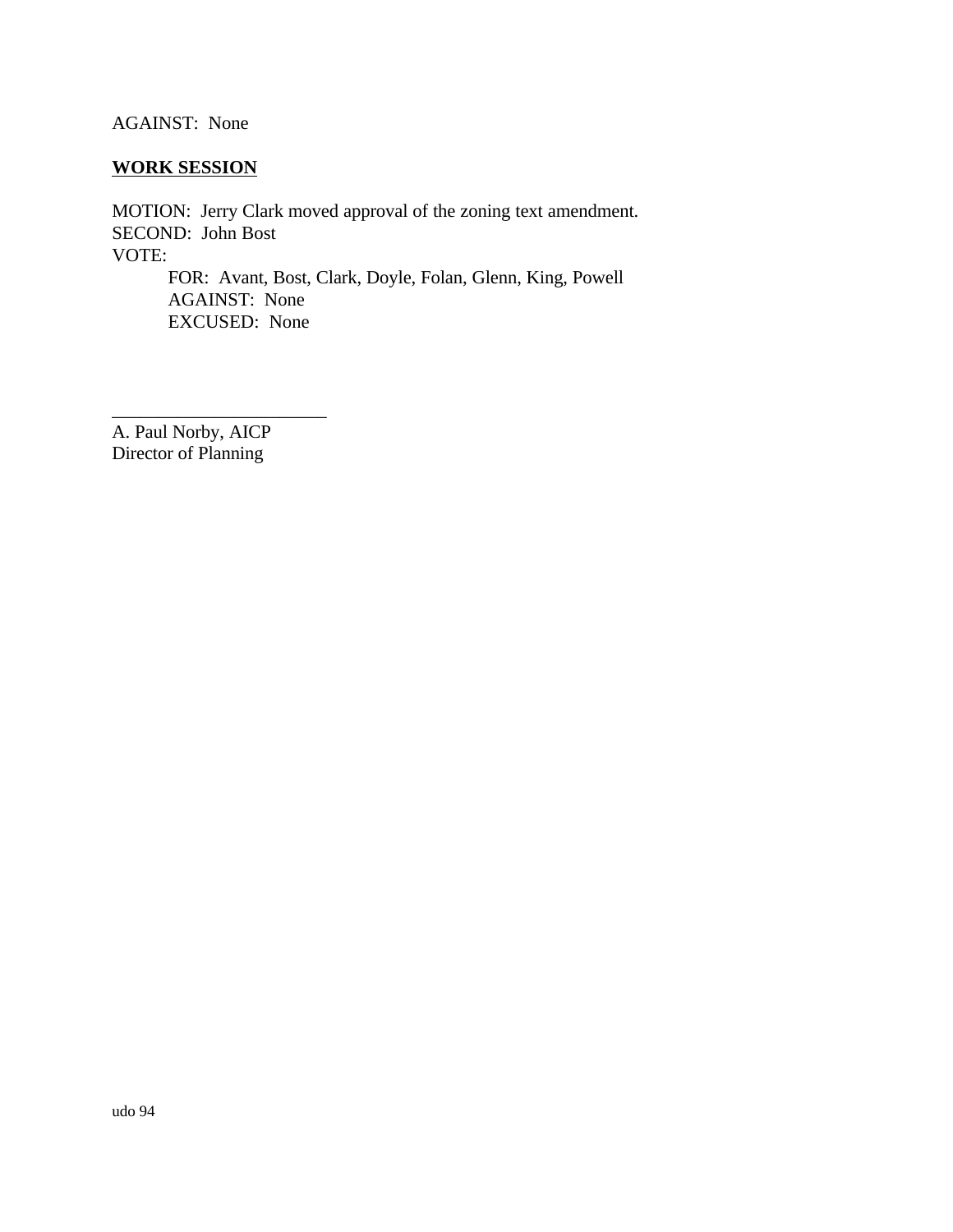AGAINST: None

# **WORK SESSION**

MOTION: Jerry Clark moved approval of the zoning text amendment. SECOND: John Bost VOTE: FOR: Avant, Bost, Clark, Doyle, Folan, Glenn, King, Powell AGAINST: None EXCUSED: None

A. Paul Norby, AICP Director of Planning

\_\_\_\_\_\_\_\_\_\_\_\_\_\_\_\_\_\_\_\_\_\_\_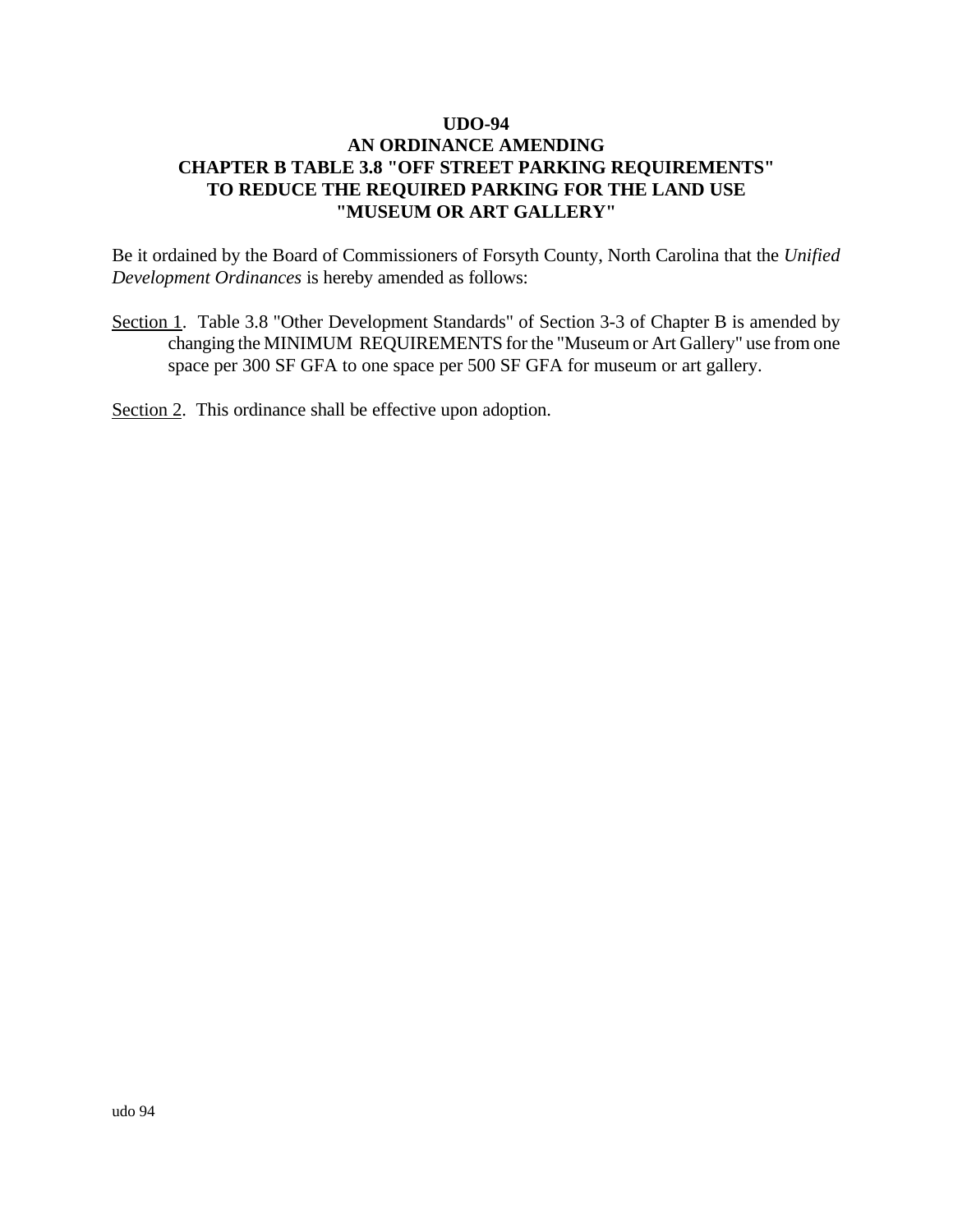Be it ordained by the Board of Commissioners of Forsyth County, North Carolina that the *Unified Development Ordinances* is hereby amended as follows:

Section 1. Table 3.8 "Other Development Standards" of Section 3-3 of Chapter B is amended by changing the MINIMUM REQUIREMENTS for the "Museum or Art Gallery" use from one space per 300 SF GFA to one space per 500 SF GFA for museum or art gallery.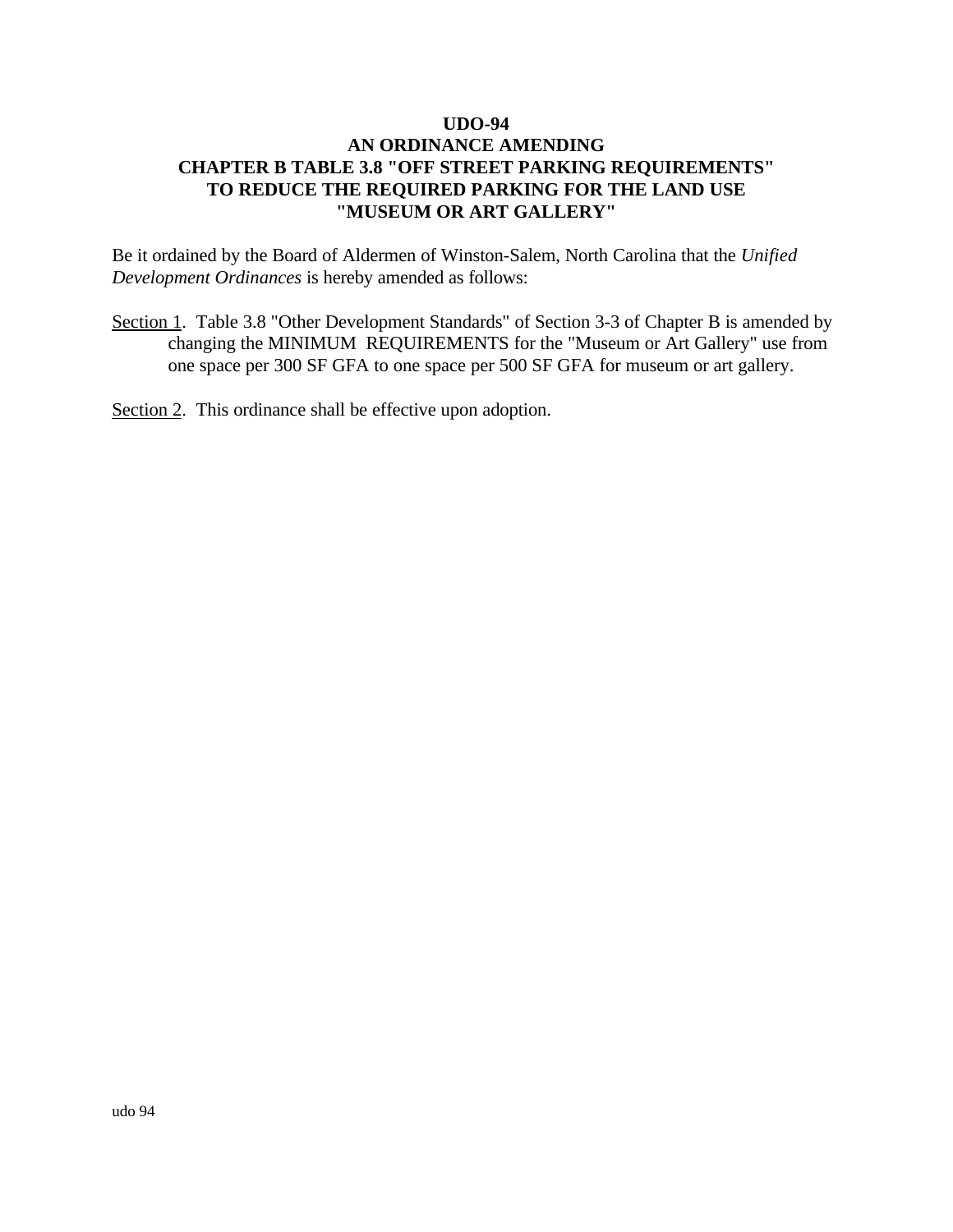Be it ordained by the Board of Aldermen of Winston-Salem, North Carolina that the *Unified Development Ordinances* is hereby amended as follows:

Section 1. Table 3.8 "Other Development Standards" of Section 3-3 of Chapter B is amended by changing the MINIMUM REQUIREMENTS for the "Museum or Art Gallery" use from one space per 300 SF GFA to one space per 500 SF GFA for museum or art gallery.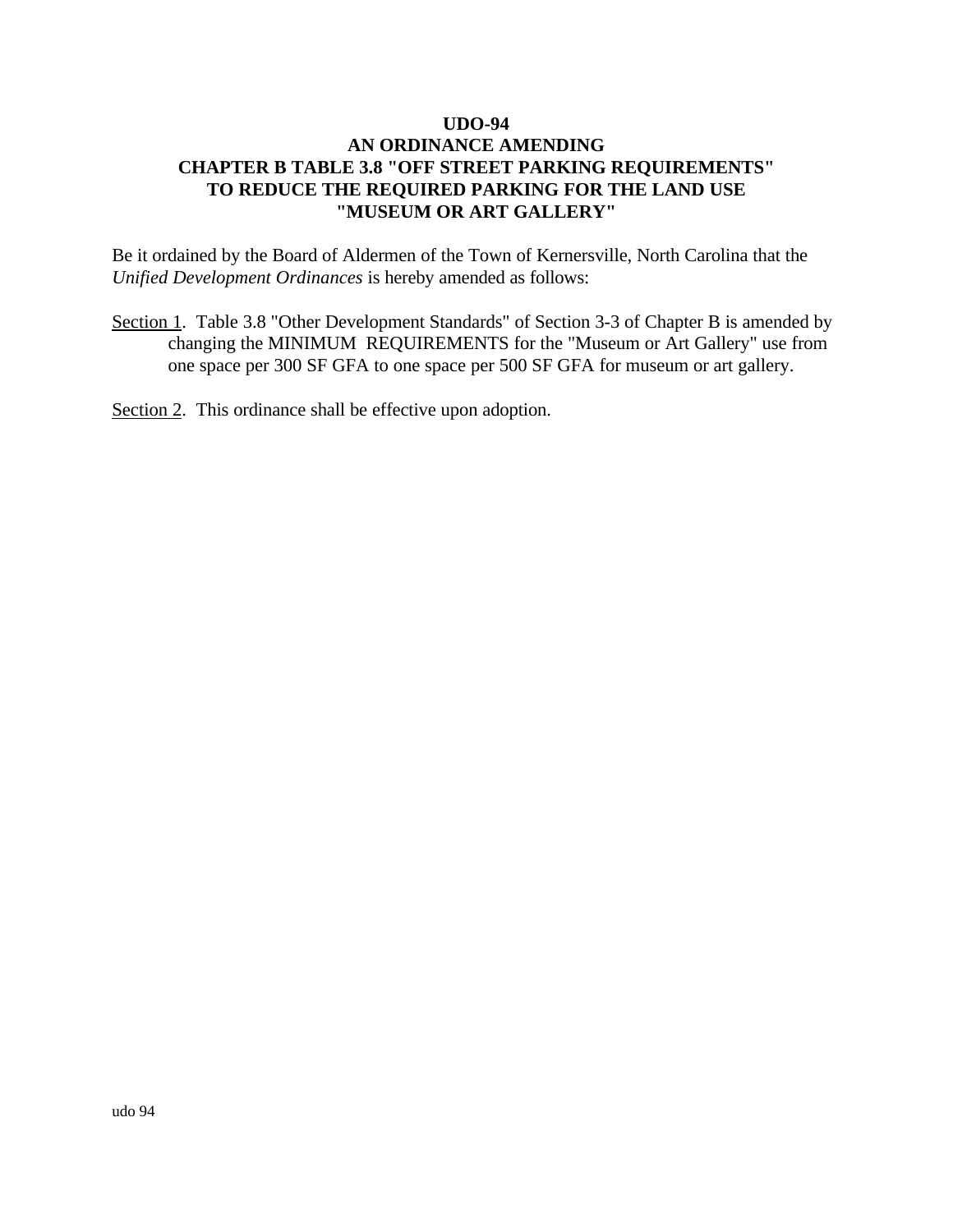Be it ordained by the Board of Aldermen of the Town of Kernersville, North Carolina that the *Unified Development Ordinances* is hereby amended as follows:

Section 1. Table 3.8 "Other Development Standards" of Section 3-3 of Chapter B is amended by changing the MINIMUM REQUIREMENTS for the "Museum or Art Gallery" use from one space per 300 SF GFA to one space per 500 SF GFA for museum or art gallery.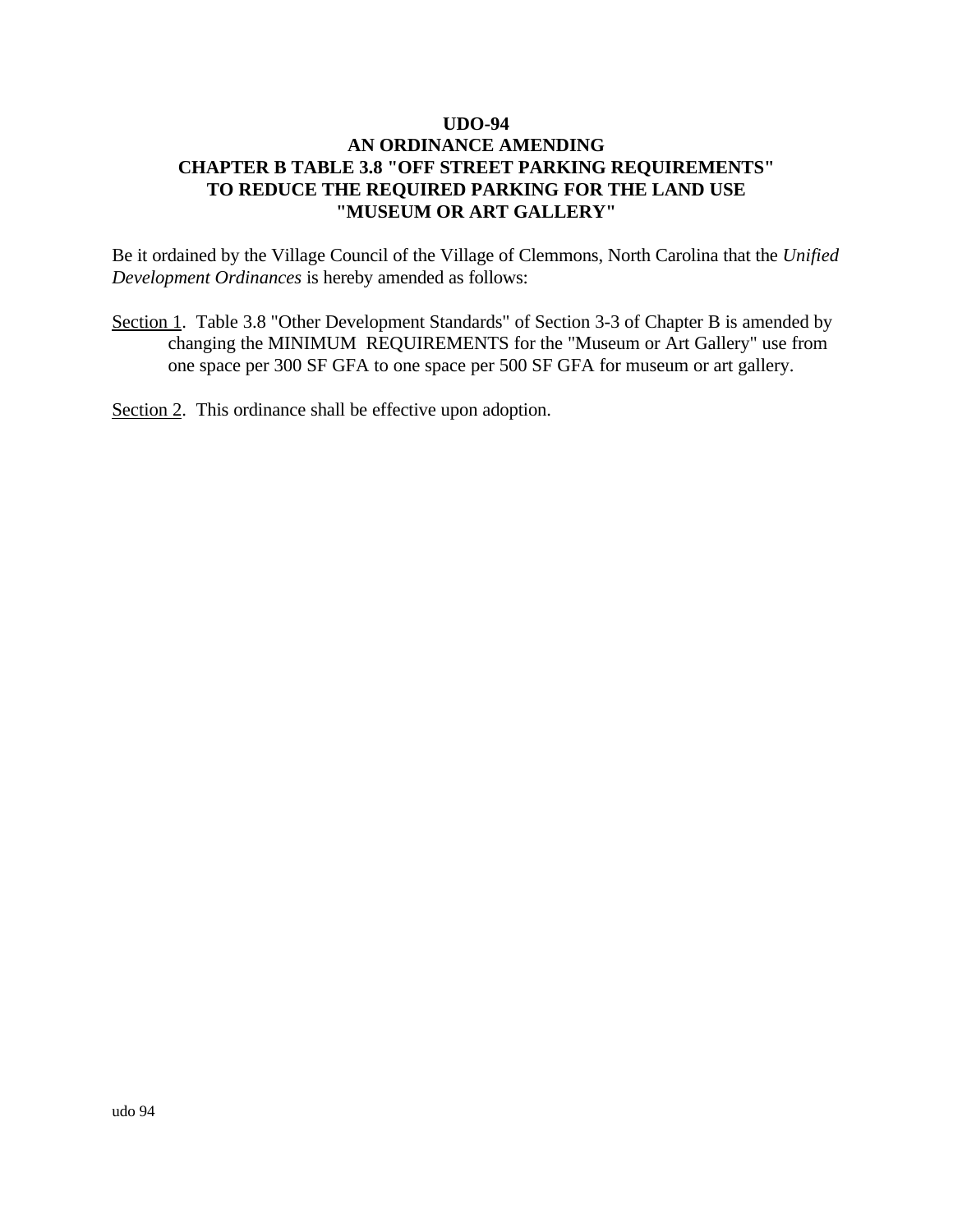Be it ordained by the Village Council of the Village of Clemmons, North Carolina that the *Unified Development Ordinances* is hereby amended as follows:

Section 1. Table 3.8 "Other Development Standards" of Section 3-3 of Chapter B is amended by changing the MINIMUM REQUIREMENTS for the "Museum or Art Gallery" use from one space per 300 SF GFA to one space per 500 SF GFA for museum or art gallery.